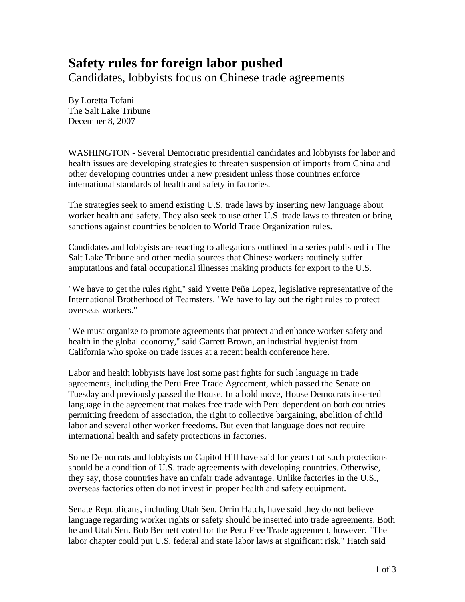## **Safety rules for foreign labor pushed**

Candidates, lobbyists focus on Chinese trade agreements

By Loretta Tofani The Salt Lake Tribune December 8, 2007

WASHINGTON - Several Democratic presidential candidates and lobbyists for labor and health issues are developing strategies to threaten suspension of imports from China and other developing countries under a new president unless those countries enforce international standards of health and safety in factories.

The strategies seek to amend existing U.S. trade laws by inserting new language about worker health and safety. They also seek to use other U.S. trade laws to threaten or bring sanctions against countries beholden to World Trade Organization rules.

Candidates and lobbyists are reacting to allegations outlined in a series published in The Salt Lake Tribune and other media sources that Chinese workers routinely suffer amputations and fatal occupational illnesses making products for export to the U.S.

"We have to get the rules right," said Yvette Peña Lopez, legislative representative of the International Brotherhood of Teamsters. "We have to lay out the right rules to protect overseas workers."

"We must organize to promote agreements that protect and enhance worker safety and health in the global economy," said Garrett Brown, an industrial hygienist from California who spoke on trade issues at a recent health conference here.

Labor and health lobbyists have lost some past fights for such language in trade agreements, including the Peru Free Trade Agreement, which passed the Senate on Tuesday and previously passed the House. In a bold move, House Democrats inserted language in the agreement that makes free trade with Peru dependent on both countries permitting freedom of association, the right to collective bargaining, abolition of child labor and several other worker freedoms. But even that language does not require international health and safety protections in factories.

Some Democrats and lobbyists on Capitol Hill have said for years that such protections should be a condition of U.S. trade agreements with developing countries. Otherwise, they say, those countries have an unfair trade advantage. Unlike factories in the U.S., overseas factories often do not invest in proper health and safety equipment.

Senate Republicans, including Utah Sen. Orrin Hatch, have said they do not believe language regarding worker rights or safety should be inserted into trade agreements. Both he and Utah Sen. Bob Bennett voted for the Peru Free Trade agreement, however. "The labor chapter could put U.S. federal and state labor laws at significant risk," Hatch said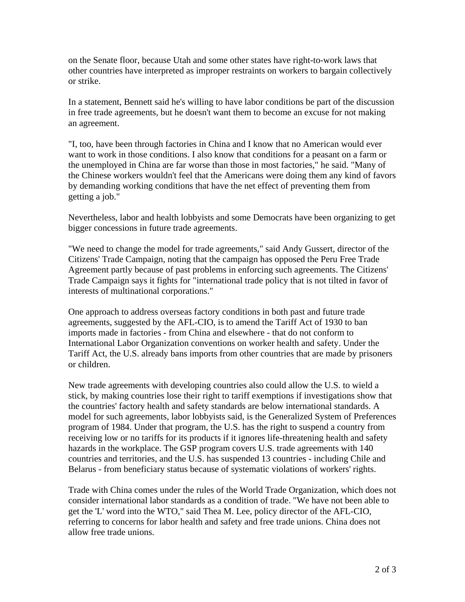on the Senate floor, because Utah and some other states have right-to-work laws that other countries have interpreted as improper restraints on workers to bargain collectively or strike.

In a statement, Bennett said he's willing to have labor conditions be part of the discussion in free trade agreements, but he doesn't want them to become an excuse for not making an agreement.

"I, too, have been through factories in China and I know that no American would ever want to work in those conditions. I also know that conditions for a peasant on a farm or the unemployed in China are far worse than those in most factories," he said. "Many of the Chinese workers wouldn't feel that the Americans were doing them any kind of favors by demanding working conditions that have the net effect of preventing them from getting a job."

Nevertheless, labor and health lobbyists and some Democrats have been organizing to get bigger concessions in future trade agreements.

"We need to change the model for trade agreements," said Andy Gussert, director of the Citizens' Trade Campaign, noting that the campaign has opposed the Peru Free Trade Agreement partly because of past problems in enforcing such agreements. The Citizens' Trade Campaign says it fights for "international trade policy that is not tilted in favor of interests of multinational corporations."

One approach to address overseas factory conditions in both past and future trade agreements, suggested by the AFL-CIO, is to amend the Tariff Act of 1930 to ban imports made in factories - from China and elsewhere - that do not conform to International Labor Organization conventions on worker health and safety. Under the Tariff Act, the U.S. already bans imports from other countries that are made by prisoners or children.

New trade agreements with developing countries also could allow the U.S. to wield a stick, by making countries lose their right to tariff exemptions if investigations show that the countries' factory health and safety standards are below international standards. A model for such agreements, labor lobbyists said, is the Generalized System of Preferences program of 1984. Under that program, the U.S. has the right to suspend a country from receiving low or no tariffs for its products if it ignores life-threatening health and safety hazards in the workplace. The GSP program covers U.S. trade agreements with 140 countries and territories, and the U.S. has suspended 13 countries - including Chile and Belarus - from beneficiary status because of systematic violations of workers' rights.

Trade with China comes under the rules of the World Trade Organization, which does not consider international labor standards as a condition of trade. "We have not been able to get the 'L' word into the WTO," said Thea M. Lee, policy director of the AFL-CIO, referring to concerns for labor health and safety and free trade unions. China does not allow free trade unions.